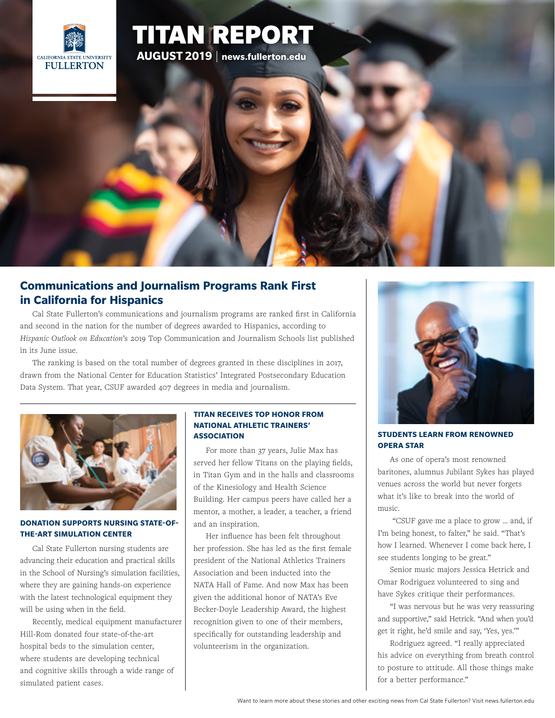

# [TITAN REPORT](http://news.fullerton.edu/2019sp/Comm-Ranking-Hispanic-Outlook.aspx) **AUGUST 2019** | **<news.fullerton.edu>**

## **[Communications and Journalism Programs Rank First](http://news.fullerton.edu/2019sp/Comm-Ranking-Hispanic-Outlook.aspx)  [in California for Hispanics](http://news.fullerton.edu/2019sp/Comm-Ranking-Hispanic-Outlook.aspx)**

[Cal State Fullerton's communications and journalism programs are ranked first in California](http://news.fullerton.edu/2019sp/Comm-Ranking-Hispanic-Outlook.aspx)  [and second in the nation for the number of degrees awarded to Hispanics, according to](http://news.fullerton.edu/2019sp/Comm-Ranking-Hispanic-Outlook.aspx)  *Hispanic Outlook on Education*['s 2019 Top Communication and Journalism Schools list published](http://news.fullerton.edu/2019sp/Comm-Ranking-Hispanic-Outlook.aspx)  [in its June issue.](http://news.fullerton.edu/2019sp/Comm-Ranking-Hispanic-Outlook.aspx)

[The ranking is based on the total number of degrees granted in these disciplines in 2017,](http://news.fullerton.edu/2019sp/Comm-Ranking-Hispanic-Outlook.aspx)  [drawn from the National Center for Education Statistics' Integrated Postsecondary Education](http://news.fullerton.edu/2019sp/Comm-Ranking-Hispanic-Outlook.aspx)  [Data System. That year, CSUF awarded 407 degrees in media and journalism.](http://news.fullerton.edu/2019sp/Comm-Ranking-Hispanic-Outlook.aspx)



#### **[DONATION SUPPORTS NURSING STATE-OF-](http://news.fullerton.edu/2019sp/HHD-Hospital-Beds-Donation.aspx?origin=email)[THE-ART SIMULATION CENTER](http://news.fullerton.edu/2019sp/HHD-Hospital-Beds-Donation.aspx?origin=email)**

[Cal State Fullerton nursing students are](http://news.fullerton.edu/2019sp/HHD-Hospital-Beds-Donation.aspx?origin=email)  [advancing their education and practical skills](http://news.fullerton.edu/2019sp/HHD-Hospital-Beds-Donation.aspx?origin=email)  [in the School of Nursing's simulation facilities,](http://news.fullerton.edu/2019sp/HHD-Hospital-Beds-Donation.aspx?origin=email)  [where they are gaining hands-on experience](http://news.fullerton.edu/2019sp/HHD-Hospital-Beds-Donation.aspx?origin=email)  [with the latest technological equipment they](http://news.fullerton.edu/2019sp/HHD-Hospital-Beds-Donation.aspx?origin=email)  [will be using when in the field.](http://news.fullerton.edu/2019sp/HHD-Hospital-Beds-Donation.aspx?origin=email)

[Recently, medical equipment manufacturer](http://news.fullerton.edu/2019sp/HHD-Hospital-Beds-Donation.aspx?origin=email)  [Hill-Rom donated four state-of-the-art](http://news.fullerton.edu/2019sp/HHD-Hospital-Beds-Donation.aspx?origin=email)  [hospital beds to the simulation center,](http://news.fullerton.edu/2019sp/HHD-Hospital-Beds-Donation.aspx?origin=email)  [where students are developing technical](http://news.fullerton.edu/2019sp/HHD-Hospital-Beds-Donation.aspx?origin=email)  [and cognitive skills through a wide range of](http://news.fullerton.edu/2019sp/HHD-Hospital-Beds-Donation.aspx?origin=email)  [simulated patient cases.](http://news.fullerton.edu/2019sp/HHD-Hospital-Beds-Donation.aspx?origin=email)

#### **[TITAN RECEIVES TOP HONOR FROM](http://news.fullerton.edu/2019sp/Max-Wins-NATA-Leadership-Award.aspx)  [NATIONAL ATHLETIC TRAINERS'](http://news.fullerton.edu/2019sp/Max-Wins-NATA-Leadership-Award.aspx)  [ASSOCIATION](http://news.fullerton.edu/2019sp/Max-Wins-NATA-Leadership-Award.aspx)**

[For more than 37 years, Julie Max has](http://news.fullerton.edu/2019sp/Max-Wins-NATA-Leadership-Award.aspx)  [served her fellow Titans on the playing fields,](http://news.fullerton.edu/2019sp/Max-Wins-NATA-Leadership-Award.aspx)  [in Titan Gym and in the halls and classrooms](http://news.fullerton.edu/2019sp/Max-Wins-NATA-Leadership-Award.aspx)  [of the Kinesiology and Health Science](http://news.fullerton.edu/2019sp/Max-Wins-NATA-Leadership-Award.aspx)  [Building. Her campus peers have called her a](http://news.fullerton.edu/2019sp/Max-Wins-NATA-Leadership-Award.aspx)  [mentor, a mother, a leader, a teacher, a friend](http://news.fullerton.edu/2019sp/Max-Wins-NATA-Leadership-Award.aspx)  [and an inspiration.](http://news.fullerton.edu/2019sp/Max-Wins-NATA-Leadership-Award.aspx)

[Her influence has been felt throughout](http://news.fullerton.edu/2019sp/Max-Wins-NATA-Leadership-Award.aspx)  [her profession. She has led as the first female](http://news.fullerton.edu/2019sp/Max-Wins-NATA-Leadership-Award.aspx)  [president of the National Athletics Trainers](http://news.fullerton.edu/2019sp/Max-Wins-NATA-Leadership-Award.aspx)  [Association and been inducted into the](http://news.fullerton.edu/2019sp/Max-Wins-NATA-Leadership-Award.aspx)  [NATA Hall of Fame. And now Max has been](http://news.fullerton.edu/2019sp/Max-Wins-NATA-Leadership-Award.aspx)  [given the additional honor of NATA's Eve](http://news.fullerton.edu/2019sp/Max-Wins-NATA-Leadership-Award.aspx)  [Becker-Doyle Leadership Award, the highest](http://news.fullerton.edu/2019sp/Max-Wins-NATA-Leadership-Award.aspx)  [recognition given to one of their members,](http://news.fullerton.edu/2019sp/Max-Wins-NATA-Leadership-Award.aspx)  [specifically for outstanding leadership and](http://news.fullerton.edu/2019sp/Max-Wins-NATA-Leadership-Award.aspx)  [volunteerism in the organization.](http://news.fullerton.edu/2019sp/Max-Wins-NATA-Leadership-Award.aspx)



#### **[STUDENTS LEARN FROM RENOWNED](http://news.fullerton.edu/2019su/Jubilant-Sykes-Returns-to-the-Classroom.aspx)  [OPERA STAR](http://news.fullerton.edu/2019su/Jubilant-Sykes-Returns-to-the-Classroom.aspx)**

[As one of opera's most renowned](http://news.fullerton.edu/2019su/Jubilant-Sykes-Returns-to-the-Classroom.aspx)  [baritones, alumnus Jubilant Sykes has played](http://news.fullerton.edu/2019su/Jubilant-Sykes-Returns-to-the-Classroom.aspx)  [venues across the world but never forgets](http://news.fullerton.edu/2019su/Jubilant-Sykes-Returns-to-the-Classroom.aspx)  [what it's like to break into the world of](http://news.fullerton.edu/2019su/Jubilant-Sykes-Returns-to-the-Classroom.aspx)  [music.](http://news.fullerton.edu/2019su/Jubilant-Sykes-Returns-to-the-Classroom.aspx)

 ["CSUF gave me a place to grow … and, if](http://news.fullerton.edu/2019su/Jubilant-Sykes-Returns-to-the-Classroom.aspx)  [I'm being honest, to falter," he said. "That's](http://news.fullerton.edu/2019su/Jubilant-Sykes-Returns-to-the-Classroom.aspx)  [how I learned. Whenever I come back here, I](http://news.fullerton.edu/2019su/Jubilant-Sykes-Returns-to-the-Classroom.aspx)  [see students longing to be great."](http://news.fullerton.edu/2019su/Jubilant-Sykes-Returns-to-the-Classroom.aspx)

[Senior music majors Jessica Hetrick and](http://news.fullerton.edu/2019su/Jubilant-Sykes-Returns-to-the-Classroom.aspx)  [Omar Rodriguez volunteered to sing and](http://news.fullerton.edu/2019su/Jubilant-Sykes-Returns-to-the-Classroom.aspx)  [have Sykes critique their performances.](http://news.fullerton.edu/2019su/Jubilant-Sykes-Returns-to-the-Classroom.aspx)

["I was nervous but he was very reassuring](http://news.fullerton.edu/2019su/Jubilant-Sykes-Returns-to-the-Classroom.aspx)  [and supportive," said Hetrick. "And when you'd](http://news.fullerton.edu/2019su/Jubilant-Sykes-Returns-to-the-Classroom.aspx) [get it right, he'd smile and say, 'Yes, yes.'"](http://news.fullerton.edu/2019su/Jubilant-Sykes-Returns-to-the-Classroom.aspx)

[Rodriguez agreed. "I really appreciated](http://news.fullerton.edu/2019su/Jubilant-Sykes-Returns-to-the-Classroom.aspx)  [his advice on everything from breath control](http://news.fullerton.edu/2019su/Jubilant-Sykes-Returns-to-the-Classroom.aspx)  [to posture to attitude. All those things make](http://news.fullerton.edu/2019su/Jubilant-Sykes-Returns-to-the-Classroom.aspx)  [for a better performance."](http://news.fullerton.edu/2019su/Jubilant-Sykes-Returns-to-the-Classroom.aspx)